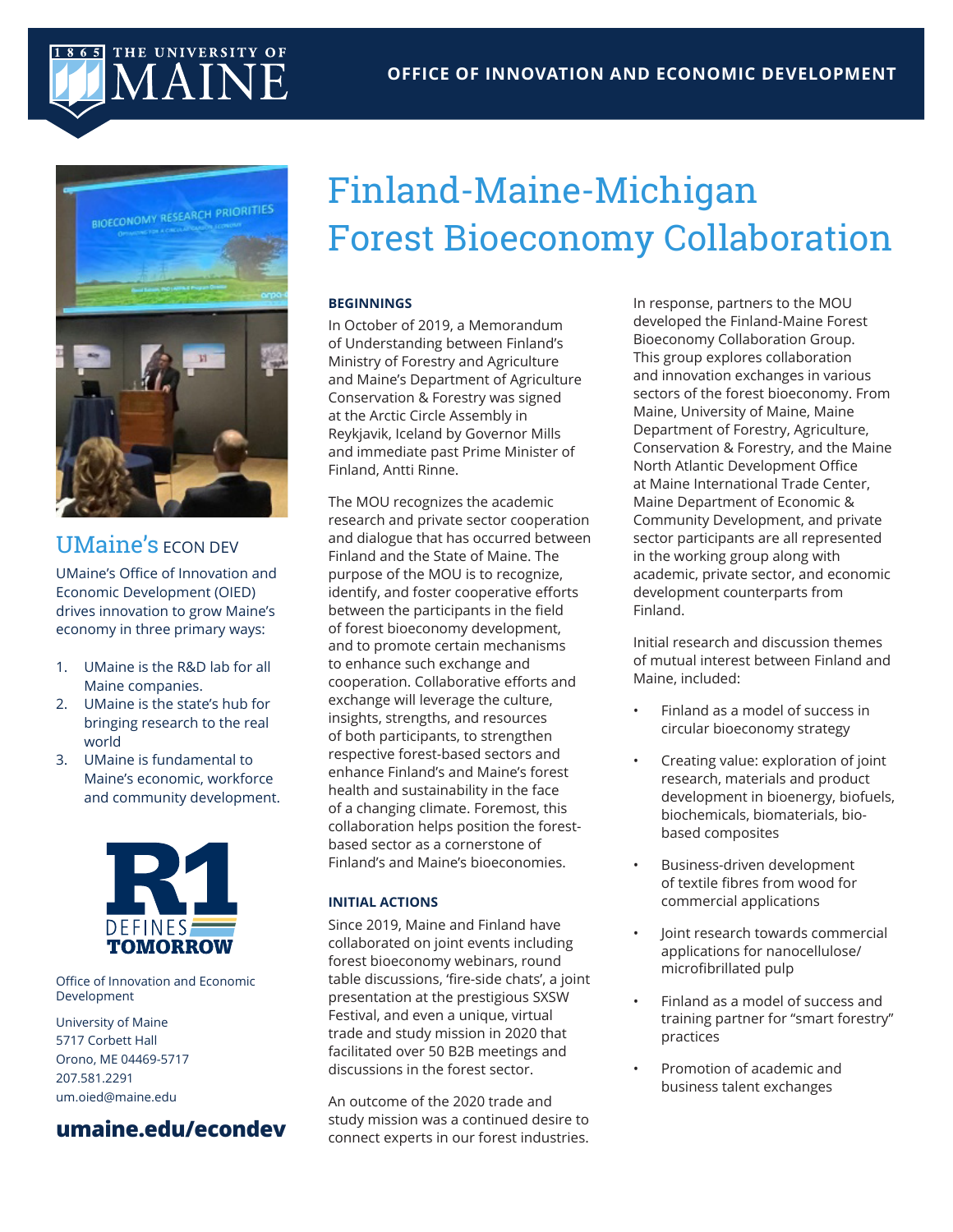#### **OFFICE OF INNOVATION AND ECONOMIC DEVELOPMENT**

## 865 THE UNIVERSITY OF MAINE



## UMaine's **ECON DEV**

UMaine's Office of Innovation and Economic Development (OIED) drives innovation to grow Maine's economy in three primary ways:

- 1. UMaine is the R&D lab for all Maine companies.
- 2. UMaine is the state's hub for bringing research to the real world
- 3. UMaine is fundamental to Maine's economic, workforce and community development.



Office of Innovation and Economic Development

University of Maine 5717 Corbett Hall Orono, ME 04469-5717 207.581.2291 um.oied@maine.edu

### **umaine.edu/econdev**

# Finland-Maine-Michigan Forest Bioeconomy Collaboration

#### **BEGINNINGS**

In October of 2019, a Memorandum of Understanding between Finland's Ministry of Forestry and Agriculture and Maine's Department of Agriculture Conservation & Forestry was signed at the Arctic Circle Assembly in Reykjavik, Iceland by Governor Mills and immediate past Prime Minister of Finland, Antti Rinne.

The MOU recognizes the academic research and private sector cooperation and dialogue that has occurred between Finland and the State of Maine. The purpose of the MOU is to recognize, identify, and foster cooperative efforts between the participants in the field of forest bioeconomy development, and to promote certain mechanisms to enhance such exchange and cooperation. Collaborative efforts and exchange will leverage the culture, insights, strengths, and resources of both participants, to strengthen respective forest-based sectors and enhance Finland's and Maine's forest health and sustainability in the face of a changing climate. Foremost, this collaboration helps position the forestbased sector as a cornerstone of Finland's and Maine's bioeconomies.

#### **INITIAL ACTIONS**

Since 2019, Maine and Finland have collaborated on joint events including forest bioeconomy webinars, round table discussions, 'fire-side chats', a joint presentation at the prestigious SXSW Festival, and even a unique, virtual trade and study mission in 2020 that facilitated over 50 B2B meetings and discussions in the forest sector.

An outcome of the 2020 trade and study mission was a continued desire to connect experts in our forest industries.

In response, partners to the MOU developed the Finland-Maine Forest Bioeconomy Collaboration Group. This group explores collaboration and innovation exchanges in various sectors of the forest bioeconomy. From Maine, University of Maine, Maine Department of Forestry, Agriculture, Conservation & Forestry, and the Maine North Atlantic Development Office at Maine International Trade Center, Maine Department of Economic & Community Development, and private sector participants are all represented in the working group along with academic, private sector, and economic development counterparts from Finland.

Initial research and discussion themes of mutual interest between Finland and Maine, included:

- Finland as a model of success in circular bioeconomy strategy
- Creating value: exploration of joint research, materials and product development in bioenergy, biofuels, biochemicals, biomaterials, biobased composites
- Business-driven development of textile fibres from wood for commercial applications
- Joint research towards commercial applications for nanocellulose/ microfibrillated pulp
- Finland as a model of success and training partner for "smart forestry" practices
- Promotion of academic and business talent exchanges